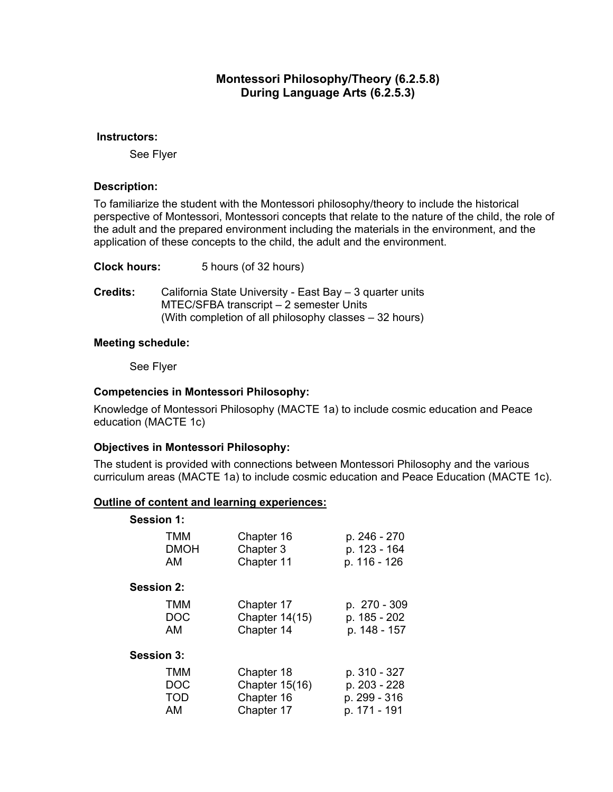# **Montessori Philosophy/Theory (6.2.5.8) During Language Arts (6.2.5.3)**

#### **Instructors:**

See Flyer

#### **Description:**

To familiarize the student with the Montessori philosophy/theory to include the historical perspective of Montessori, Montessori concepts that relate to the nature of the child, the role of the adult and the prepared environment including the materials in the environment, and the application of these concepts to the child, the adult and the environment.

**Clock hours:** 5 hours (of 32 hours)

**Credits:** California State University - East Bay – 3 quarter units MTEC/SFBA transcript – 2 semester Units (With completion of all philosophy classes – 32 hours)

## **Meeting schedule:**

See Flyer

# **Competencies in Montessori Philosophy:**

Knowledge of Montessori Philosophy (MACTE 1a) to include cosmic education and Peace education (MACTE 1c)

#### **Objectives in Montessori Philosophy:**

The student is provided with connections between Montessori Philosophy and the various curriculum areas (MACTE 1a) to include cosmic education and Peace Education (MACTE 1c).

#### **Outline of content and learning experiences:**

| Session 1:                            |                                                          |                                                              |
|---------------------------------------|----------------------------------------------------------|--------------------------------------------------------------|
| TMM<br><b>DMOH</b><br>AM              | Chapter 16<br>Chapter 3<br>Chapter 11                    | p. 246 - 270<br>p. 123 - 164<br>p. 116 - 126                 |
| <b>Session 2:</b>                     |                                                          |                                                              |
| TMM<br><b>DOC</b><br>AM               | Chapter 17<br><b>Chapter 14(15)</b><br>Chapter 14        | p. 270 - 309<br>p. 185 - 202<br>p. 148 - 157                 |
| <b>Session 3:</b>                     |                                                          |                                                              |
| TMM<br><b>DOC</b><br><b>TOD</b><br>AM | Chapter 18<br>Chapter 15(16)<br>Chapter 16<br>Chapter 17 | p. 310 - 327<br>p. 203 - 228<br>p. 299 - 316<br>p. 171 - 191 |
|                                       |                                                          |                                                              |